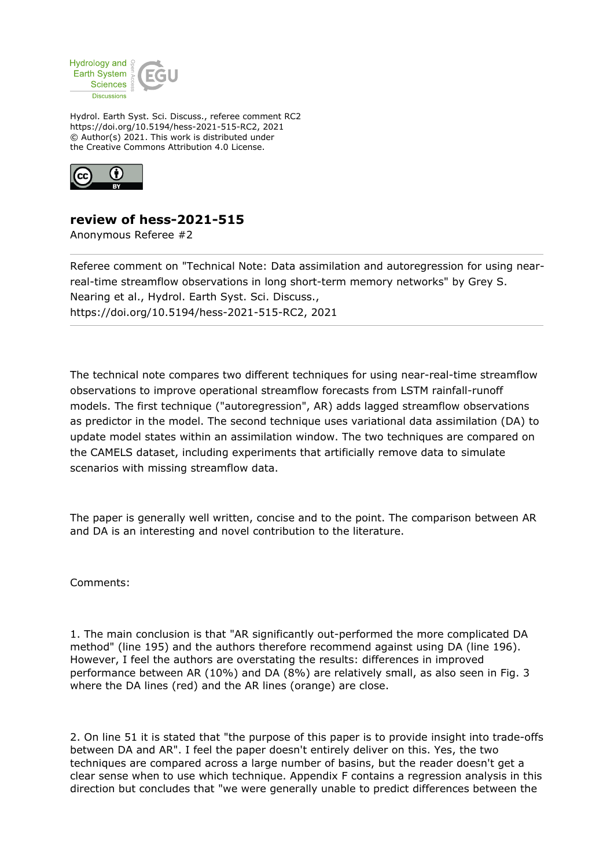

Hydrol. Earth Syst. Sci. Discuss., referee comment RC2 https://doi.org/10.5194/hess-2021-515-RC2, 2021 © Author(s) 2021. This work is distributed under the Creative Commons Attribution 4.0 License.



## **review of hess-2021-515**

Anonymous Referee #2

Referee comment on "Technical Note: Data assimilation and autoregression for using nearreal-time streamflow observations in long short-term memory networks" by Grey S. Nearing et al., Hydrol. Earth Syst. Sci. Discuss., https://doi.org/10.5194/hess-2021-515-RC2, 2021

The technical note compares two different techniques for using near-real-time streamflow observations to improve operational streamflow forecasts from LSTM rainfall-runoff models. The first technique ("autoregression", AR) adds lagged streamflow observations as predictor in the model. The second technique uses variational data assimilation (DA) to update model states within an assimilation window. The two techniques are compared on the CAMELS dataset, including experiments that artificially remove data to simulate scenarios with missing streamflow data.

The paper is generally well written, concise and to the point. The comparison between AR and DA is an interesting and novel contribution to the literature.

Comments:

1. The main conclusion is that "AR significantly out-performed the more complicated DA method" (line 195) and the authors therefore recommend against using DA (line 196). However, I feel the authors are overstating the results: differences in improved performance between AR (10%) and DA (8%) are relatively small, as also seen in Fig. 3 where the DA lines (red) and the AR lines (orange) are close.

2. On line 51 it is stated that "the purpose of this paper is to provide insight into trade-offs between DA and AR". I feel the paper doesn't entirely deliver on this. Yes, the two techniques are compared across a large number of basins, but the reader doesn't get a clear sense when to use which technique. Appendix F contains a regression analysis in this direction but concludes that "we were generally unable to predict differences between the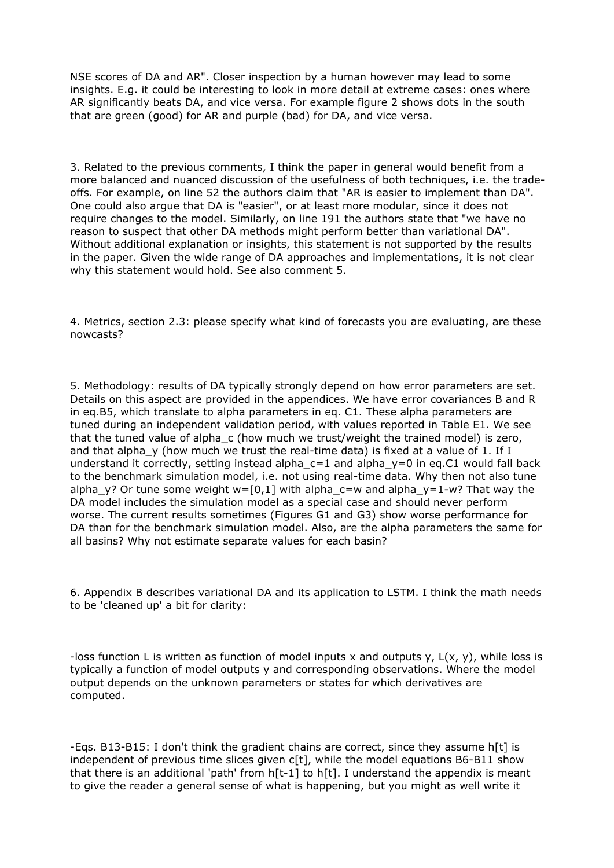NSE scores of DA and AR". Closer inspection by a human however may lead to some insights. E.g. it could be interesting to look in more detail at extreme cases: ones where AR significantly beats DA, and vice versa. For example figure 2 shows dots in the south that are green (good) for AR and purple (bad) for DA, and vice versa.

3. Related to the previous comments, I think the paper in general would benefit from a more balanced and nuanced discussion of the usefulness of both techniques, i.e. the tradeoffs. For example, on line 52 the authors claim that "AR is easier to implement than DA". One could also argue that DA is "easier", or at least more modular, since it does not require changes to the model. Similarly, on line 191 the authors state that "we have no reason to suspect that other DA methods might perform better than variational DA". Without additional explanation or insights, this statement is not supported by the results in the paper. Given the wide range of DA approaches and implementations, it is not clear why this statement would hold. See also comment 5.

4. Metrics, section 2.3: please specify what kind of forecasts you are evaluating, are these nowcasts?

5. Methodology: results of DA typically strongly depend on how error parameters are set. Details on this aspect are provided in the appendices. We have error covariances B and R in eq.B5, which translate to alpha parameters in eq. C1. These alpha parameters are tuned during an independent validation period, with values reported in Table E1. We see that the tuned value of alpha c (how much we trust/weight the trained model) is zero, and that alpha  $y$  (how much we trust the real-time data) is fixed at a value of 1. If I understand it correctly, setting instead alpha  $c=1$  and alpha  $y=0$  in eq.C1 would fall back to the benchmark simulation model, i.e. not using real-time data. Why then not also tune alpha\_y? Or tune some weight  $w=[0,1]$  with alpha\_c=w and alpha\_y=1-w? That way the DA model includes the simulation model as a special case and should never perform worse. The current results sometimes (Figures G1 and G3) show worse performance for DA than for the benchmark simulation model. Also, are the alpha parameters the same for all basins? Why not estimate separate values for each basin?

6. Appendix B describes variational DA and its application to LSTM. I think the math needs to be 'cleaned up' a bit for clarity:

-loss function L is written as function of model inputs x and outputs y,  $L(x, y)$ , while loss is typically a function of model outputs y and corresponding observations. Where the model output depends on the unknown parameters or states for which derivatives are computed.

-Eqs. B13-B15: I don't think the gradient chains are correct, since they assume h[t] is independent of previous time slices given c[t], while the model equations B6-B11 show that there is an additional 'path' from  $h[t-1]$  to  $h[t]$ . I understand the appendix is meant to give the reader a general sense of what is happening, but you might as well write it